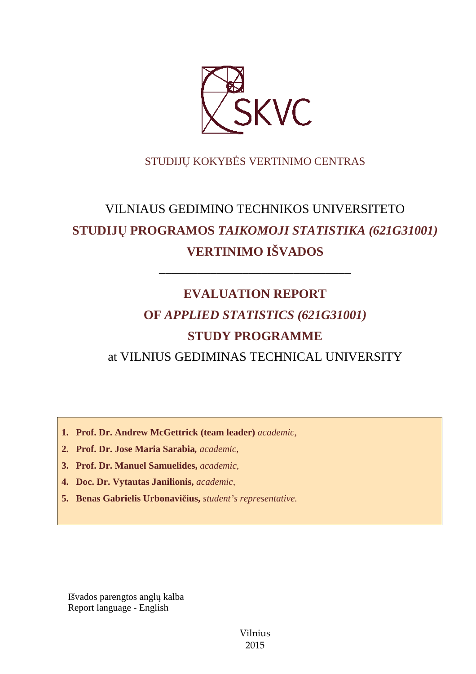

# STUDIJŲ KOKYBĖS VERTINIMO CENTRAS

# VILNIAUS GEDIMINO TECHNIKOS UNIVERSITETO **STUDIJŲ PROGRAMOS** *TAIKOMOJI STATISTIKA (621G31001)*  **VERTINIMO IŠVADOS**

––––––––––––––––––––––––––––––

# **EVALUATION REPORT OF** *APPLIED STATISTICS (621G31001)*  **STUDY PROGRAMME**

at VILNIUS GEDIMINAS TECHNICAL UNIVERSITY

**1. Prof. Dr. Andrew McGettrick (team leader)** *academic,*

- **2. Prof. Dr. Jose Maria Sarabia***, academic,*
- **3. Prof. Dr. Manuel Samuelides,** *academic,*
- **4. Doc. Dr. Vytautas Janilionis,** *academic,*
- **5. Benas Gabrielis Urbonavičius,** *student's representative.*

Išvados parengtos anglų kalba Report language - English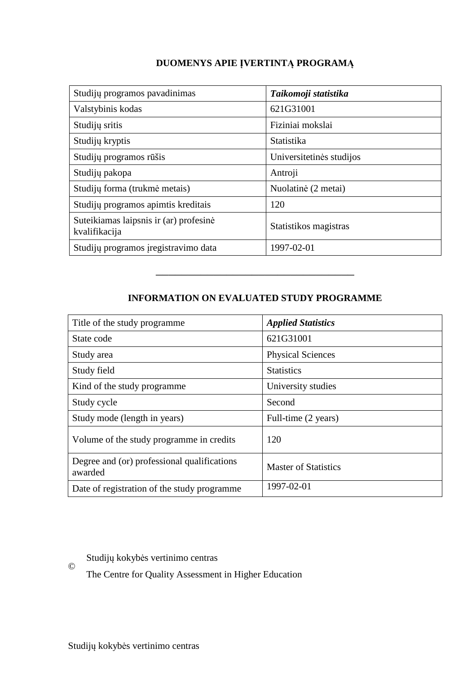# **DUOMENYS APIE ĮVERTINTĄ PROGRAMĄ**

| Studijų programos pavadinimas                           | Taikomoji statistika     |
|---------------------------------------------------------|--------------------------|
| Valstybinis kodas                                       | 621G31001                |
| Studijų sritis                                          | Fiziniai mokslai         |
| Studijų kryptis                                         | Statistika               |
| Studijų programos rūšis                                 | Universitetinės studijos |
| Studijų pakopa                                          | Antroji                  |
| Studijų forma (trukmė metais)                           | Nuolatinė (2 metai)      |
| Studijų programos apimtis kreditais                     | 120                      |
| Suteikiamas laipsnis ir (ar) profesinė<br>kvalifikacija | Statistikos magistras    |
| Studijų programos įregistravimo data                    | 1997-02-01               |

# **INFORMATION ON EVALUATED STUDY PROGRAMME**

–––––––––––––––––––––––––––––––

| Title of the study programme.                          | <b>Applied Statistics</b>   |
|--------------------------------------------------------|-----------------------------|
| State code                                             | 621G31001                   |
| Study area                                             | <b>Physical Sciences</b>    |
| Study field                                            | <b>Statistics</b>           |
| Kind of the study programme.                           | University studies          |
| Study cycle                                            | Second                      |
| Study mode (length in years)                           | Full-time (2 years)         |
| Volume of the study programme in credits               | 120                         |
| Degree and (or) professional qualifications<br>awarded | <b>Master of Statistics</b> |
| Date of registration of the study programme            | 1997-02-01                  |

Studijų kokybės vertinimo centras

The Centre for Quality Assessment in Higher Education

©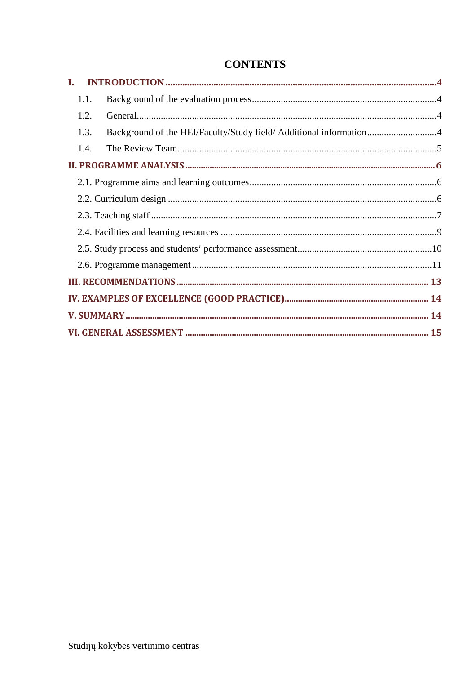# **CONTENTS**

| 1.1. |                                                                    |  |
|------|--------------------------------------------------------------------|--|
| 1.2. |                                                                    |  |
| 1.3. | Background of the HEI/Faculty/Study field/ Additional information4 |  |
| 1.4. |                                                                    |  |
|      |                                                                    |  |
|      |                                                                    |  |
|      |                                                                    |  |
|      |                                                                    |  |
|      |                                                                    |  |
|      |                                                                    |  |
|      |                                                                    |  |
|      |                                                                    |  |
|      |                                                                    |  |
|      |                                                                    |  |
|      |                                                                    |  |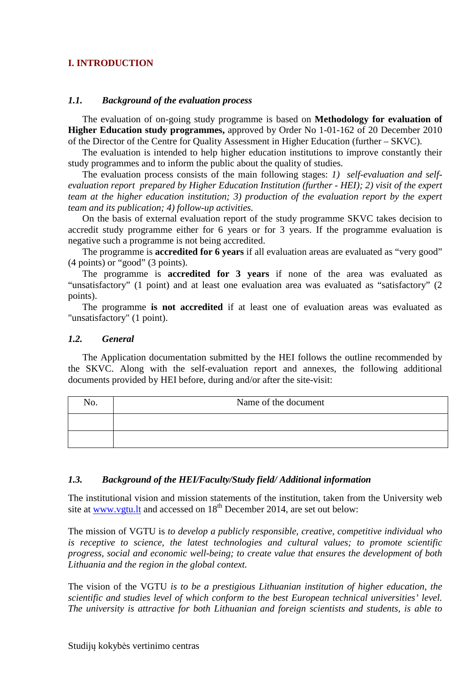# **I. INTRODUCTION**

#### *1.1. Background of the evaluation process*

The evaluation of on-going study programme is based on **Methodology for evaluation of Higher Education study programmes,** approved by Order No 1-01-162 of 20 December 2010 of the Director of the Centre for Quality Assessment in Higher Education (further – SKVC).

The evaluation is intended to help higher education institutions to improve constantly their study programmes and to inform the public about the quality of studies.

The evaluation process consists of the main following stages: *1) self-evaluation and selfevaluation report prepared by Higher Education Institution (further - HEI); 2) visit of the expert team at the higher education institution; 3) production of the evaluation report by the expert team and its publication; 4) follow-up activities.* 

On the basis of external evaluation report of the study programme SKVC takes decision to accredit study programme either for 6 years or for 3 years. If the programme evaluation is negative such a programme is not being accredited.

The programme is **accredited for 6 years** if all evaluation areas are evaluated as "very good" (4 points) or "good" (3 points).

The programme is **accredited for 3 years** if none of the area was evaluated as "unsatisfactory" (1 point) and at least one evaluation area was evaluated as "satisfactory" (2 points).

The programme **is not accredited** if at least one of evaluation areas was evaluated as "unsatisfactory" (1 point).

#### *1.2. General*

The Application documentation submitted by the HEI follows the outline recommended by the SKVC. Along with the self-evaluation report and annexes, the following additional documents provided by HEI before, during and/or after the site-visit:

| NO. | Name of the document |
|-----|----------------------|
|     |                      |
|     |                      |

#### *1.3. Background of the HEI/Faculty/Study field/ Additional information*

The institutional vision and mission statements of the institution, taken from the University web site at www.vgtu.lt and accessed on 18<sup>th</sup> December 2014, are set out below:

The mission of VGTU is *to develop a publicly responsible, creative, competitive individual who is receptive to science, the latest technologies and cultural values; to promote scientific progress, social and economic well-being; to create value that ensures the development of both Lithuania and the region in the global context.* 

The vision of the VGTU *is to be a prestigious Lithuanian institution of higher education, the scientific and studies level of which conform to the best European technical universities' level. The university is attractive for both Lithuanian and foreign scientists and students, is able to*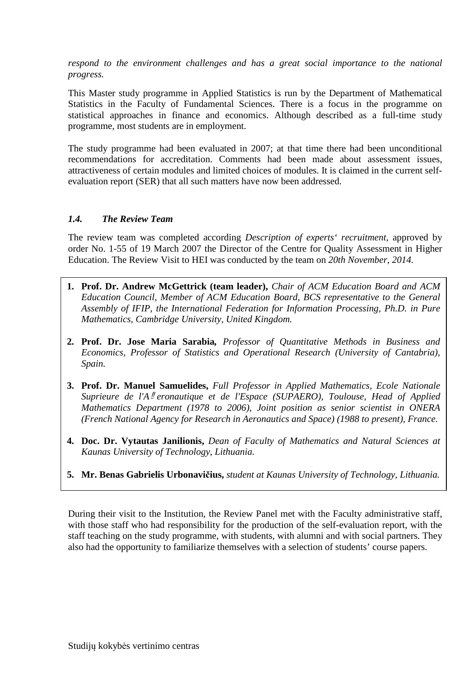respond to the environment challenges and has a great social importance to the national *progress.* 

This Master study programme in Applied Statistics is run by the Department of Mathematical Statistics in the Faculty of Fundamental Sciences. There is a focus in the programme on statistical approaches in finance and economics. Although described as a full-time study programme, most students are in employment.

The study programme had been evaluated in 2007; at that time there had been unconditional recommendations for accreditation. Comments had been made about assessment issues, attractiveness of certain modules and limited choices of modules. It is claimed in the current selfevaluation report (SER) that all such matters have now been addressed.

# *1.4. The Review Team*

The review team was completed according *Description of experts' recruitment*, approved by order No. 1-55 of 19 March 2007 the Director of the Centre for Quality Assessment in Higher Education. The Review Visit to HEI was conducted by the team on *20th November, 2014.*

- **1. Prof. Dr. Andrew McGettrick (team leader),** *Chair of ACM Education Board and ACM Education Council, Member of ACM Education Board, BCS representative to the General Assembly of IFIP, the International Federation for Information Processing, Ph.D. in Pure Mathematics, Cambridge University, United Kingdom.*
- **2. Prof. Dr. Jose Maria Sarabia***, Professor of Quantitative Methods in Business and Economics, Professor of Statistics and Operational Research (University of Cantabria), Spain.*
- Ĭ **3. Prof. Dr. Manuel Samuelides,** *Full Professor in Applied Mathematics, Ecole Nationale Suprieure de l'A*<sup>*ll*</sup> eronautique et de l'Espace (SUPAERO), Toulouse, Head of Applied *Mathematics Department (1978 to 2006), Joint position as senior scientist in ONERA (French National Agency for Research in Aeronautics and Space) (1988 to present), France.*
- **4. Doc. Dr. Vytautas Janilionis,** *Dean of Faculty of Mathematics and Natural Sciences at Kaunas University of Technology, Lithuania.*
- **5. Mr. Benas Gabrielis Urbonavičius,** *student at Kaunas University of Technology, Lithuania.*

During their visit to the Institution, the Review Panel met with the Faculty administrative staff, with those staff who had responsibility for the production of the self-evaluation report, with the staff teaching on the study programme, with students, with alumni and with social partners. They also had the opportunity to familiarize themselves with a selection of students' course papers.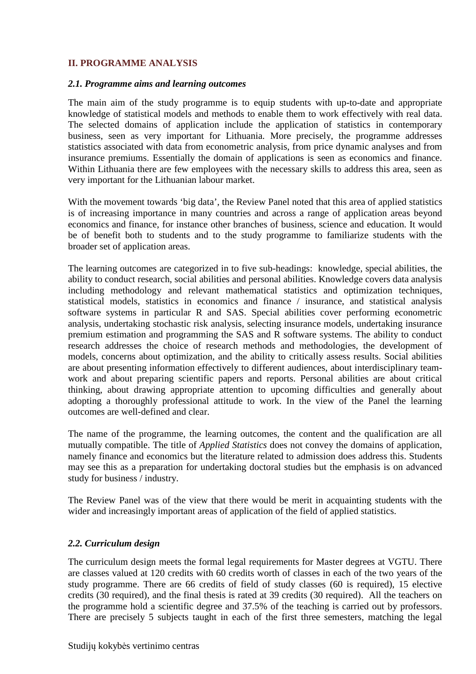#### **II. PROGRAMME ANALYSIS**

#### *2.1. Programme aims and learning outcomes*

The main aim of the study programme is to equip students with up-to-date and appropriate knowledge of statistical models and methods to enable them to work effectively with real data. The selected domains of application include the application of statistics in contemporary business, seen as very important for Lithuania. More precisely, the programme addresses statistics associated with data from econometric analysis, from price dynamic analyses and from insurance premiums. Essentially the domain of applications is seen as economics and finance. Within Lithuania there are few employees with the necessary skills to address this area, seen as very important for the Lithuanian labour market.

With the movement towards 'big data', the Review Panel noted that this area of applied statistics is of increasing importance in many countries and across a range of application areas beyond economics and finance, for instance other branches of business, science and education. It would be of benefit both to students and to the study programme to familiarize students with the broader set of application areas.

The learning outcomes are categorized in to five sub-headings: knowledge, special abilities, the ability to conduct research, social abilities and personal abilities. Knowledge covers data analysis including methodology and relevant mathematical statistics and optimization techniques, statistical models, statistics in economics and finance / insurance, and statistical analysis software systems in particular R and SAS. Special abilities cover performing econometric analysis, undertaking stochastic risk analysis, selecting insurance models, undertaking insurance premium estimation and programming the SAS and R software systems. The ability to conduct research addresses the choice of research methods and methodologies, the development of models, concerns about optimization, and the ability to critically assess results. Social abilities are about presenting information effectively to different audiences, about interdisciplinary teamwork and about preparing scientific papers and reports. Personal abilities are about critical thinking, about drawing appropriate attention to upcoming difficulties and generally about adopting a thoroughly professional attitude to work. In the view of the Panel the learning outcomes are well-defined and clear.

The name of the programme, the learning outcomes, the content and the qualification are all mutually compatible. The title of *Applied Statistics* does not convey the domains of application, namely finance and economics but the literature related to admission does address this. Students may see this as a preparation for undertaking doctoral studies but the emphasis is on advanced study for business / industry.

The Review Panel was of the view that there would be merit in acquainting students with the wider and increasingly important areas of application of the field of applied statistics.

#### *2.2. Curriculum design*

The curriculum design meets the formal legal requirements for Master degrees at VGTU. There are classes valued at 120 credits with 60 credits worth of classes in each of the two years of the study programme. There are 66 credits of field of study classes (60 is required), 15 elective credits (30 required), and the final thesis is rated at 39 credits (30 required). All the teachers on the programme hold a scientific degree and 37.5% of the teaching is carried out by professors. There are precisely 5 subjects taught in each of the first three semesters, matching the legal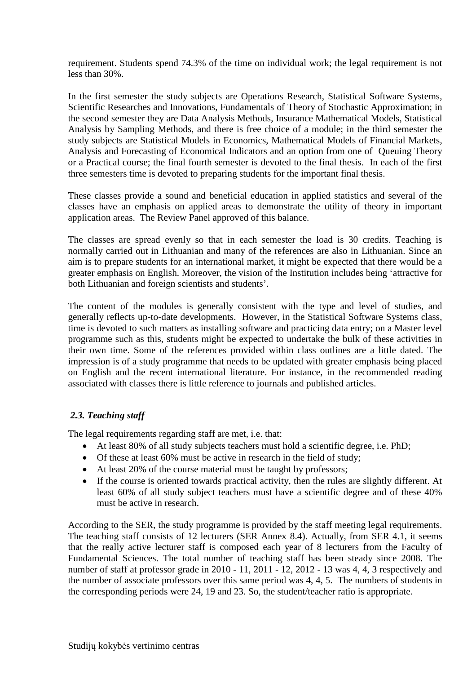requirement. Students spend 74.3% of the time on individual work; the legal requirement is not less than 30%.

In the first semester the study subjects are Operations Research, Statistical Software Systems, Scientific Researches and Innovations, Fundamentals of Theory of Stochastic Approximation; in the second semester they are Data Analysis Methods, Insurance Mathematical Models, Statistical Analysis by Sampling Methods, and there is free choice of a module; in the third semester the study subjects are Statistical Models in Economics, Mathematical Models of Financial Markets, Analysis and Forecasting of Economical Indicators and an option from one of Queuing Theory or a Practical course; the final fourth semester is devoted to the final thesis. In each of the first three semesters time is devoted to preparing students for the important final thesis.

These classes provide a sound and beneficial education in applied statistics and several of the classes have an emphasis on applied areas to demonstrate the utility of theory in important application areas. The Review Panel approved of this balance.

The classes are spread evenly so that in each semester the load is 30 credits. Teaching is normally carried out in Lithuanian and many of the references are also in Lithuanian. Since an aim is to prepare students for an international market, it might be expected that there would be a greater emphasis on English. Moreover, the vision of the Institution includes being 'attractive for both Lithuanian and foreign scientists and students'.

The content of the modules is generally consistent with the type and level of studies, and generally reflects up-to-date developments. However, in the Statistical Software Systems class, time is devoted to such matters as installing software and practicing data entry; on a Master level programme such as this, students might be expected to undertake the bulk of these activities in their own time. Some of the references provided within class outlines are a little dated. The impression is of a study programme that needs to be updated with greater emphasis being placed on English and the recent international literature. For instance, in the recommended reading associated with classes there is little reference to journals and published articles.

# *2.3. Teaching staff*

The legal requirements regarding staff are met, i.e. that:

- At least 80% of all study subjects teachers must hold a scientific degree, i.e. PhD;
- Of these at least 60% must be active in research in the field of study;
- At least 20% of the course material must be taught by professors;
- If the course is oriented towards practical activity, then the rules are slightly different. At least 60% of all study subject teachers must have a scientific degree and of these 40% must be active in research.

According to the SER, the study programme is provided by the staff meeting legal requirements. The teaching staff consists of 12 lecturers (SER Annex 8.4). Actually, from SER 4.1, it seems that the really active lecturer staff is composed each year of 8 lecturers from the Faculty of Fundamental Sciences. The total number of teaching staff has been steady since 2008. The number of staff at professor grade in 2010 - 11, 2011 - 12, 2012 - 13 was 4, 4, 3 respectively and the number of associate professors over this same period was 4, 4, 5. The numbers of students in the corresponding periods were 24, 19 and 23. So, the student/teacher ratio is appropriate.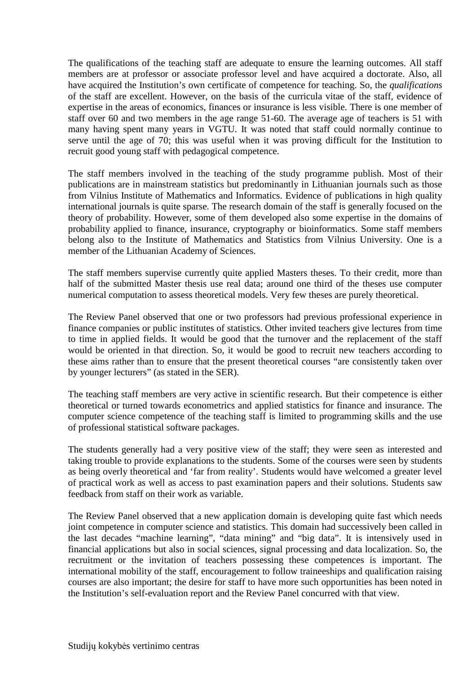The qualifications of the teaching staff are adequate to ensure the learning outcomes. All staff members are at professor or associate professor level and have acquired a doctorate. Also, all have acquired the Institution's own certificate of competence for teaching. So, the *qualifications* of the staff are excellent. However, on the basis of the curricula vitae of the staff, evidence of expertise in the areas of economics, finances or insurance is less visible. There is one member of staff over 60 and two members in the age range 51-60. The average age of teachers is 51 with many having spent many years in VGTU. It was noted that staff could normally continue to serve until the age of 70; this was useful when it was proving difficult for the Institution to recruit good young staff with pedagogical competence.

The staff members involved in the teaching of the study programme publish. Most of their publications are in mainstream statistics but predominantly in Lithuanian journals such as those from Vilnius Institute of Mathematics and Informatics. Evidence of publications in high quality international journals is quite sparse. The research domain of the staff is generally focused on the theory of probability. However, some of them developed also some expertise in the domains of probability applied to finance, insurance, cryptography or bioinformatics. Some staff members belong also to the Institute of Mathematics and Statistics from Vilnius University. One is a member of the Lithuanian Academy of Sciences.

The staff members supervise currently quite applied Masters theses. To their credit, more than half of the submitted Master thesis use real data; around one third of the theses use computer numerical computation to assess theoretical models. Very few theses are purely theoretical.

The Review Panel observed that one or two professors had previous professional experience in finance companies or public institutes of statistics. Other invited teachers give lectures from time to time in applied fields. It would be good that the turnover and the replacement of the staff would be oriented in that direction. So, it would be good to recruit new teachers according to these aims rather than to ensure that the present theoretical courses "are consistently taken over by younger lecturers" (as stated in the SER).

The teaching staff members are very active in scientific research. But their competence is either theoretical or turned towards econometrics and applied statistics for finance and insurance. The computer science competence of the teaching staff is limited to programming skills and the use of professional statistical software packages.

The students generally had a very positive view of the staff; they were seen as interested and taking trouble to provide explanations to the students. Some of the courses were seen by students as being overly theoretical and 'far from reality'. Students would have welcomed a greater level of practical work as well as access to past examination papers and their solutions. Students saw feedback from staff on their work as variable.

The Review Panel observed that a new application domain is developing quite fast which needs joint competence in computer science and statistics. This domain had successively been called in the last decades "machine learning", "data mining" and "big data". It is intensively used in financial applications but also in social sciences, signal processing and data localization. So, the recruitment or the invitation of teachers possessing these competences is important. The international mobility of the staff, encouragement to follow traineeships and qualification raising courses are also important; the desire for staff to have more such opportunities has been noted in the Institution's self-evaluation report and the Review Panel concurred with that view.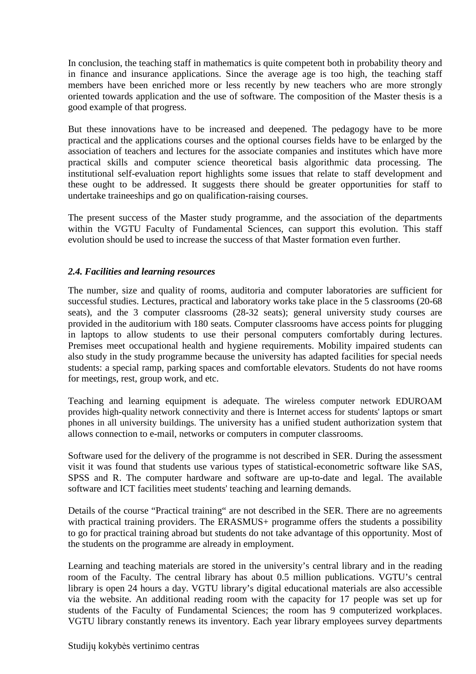In conclusion, the teaching staff in mathematics is quite competent both in probability theory and in finance and insurance applications. Since the average age is too high, the teaching staff members have been enriched more or less recently by new teachers who are more strongly oriented towards application and the use of software. The composition of the Master thesis is a good example of that progress.

But these innovations have to be increased and deepened. The pedagogy have to be more practical and the applications courses and the optional courses fields have to be enlarged by the association of teachers and lectures for the associate companies and institutes which have more practical skills and computer science theoretical basis algorithmic data processing. The institutional self-evaluation report highlights some issues that relate to staff development and these ought to be addressed. It suggests there should be greater opportunities for staff to undertake traineeships and go on qualification-raising courses.

The present success of the Master study programme, and the association of the departments within the VGTU Faculty of Fundamental Sciences, can support this evolution. This staff evolution should be used to increase the success of that Master formation even further.

# *2.4. Facilities and learning resources*

The number, size and quality of rooms, auditoria and computer laboratories are sufficient for successful studies. Lectures, practical and laboratory works take place in the 5 classrooms (20-68 seats), and the 3 computer classrooms (28-32 seats); general university study courses are provided in the auditorium with 180 seats. Computer classrooms have access points for plugging in laptops to allow students to use their personal computers comfortably during lectures. Premises meet occupational health and hygiene requirements. Mobility impaired students can also study in the study programme because the university has adapted facilities for special needs students: a special ramp, parking spaces and comfortable elevators. Students do not have rooms for meetings, rest, group work, and etc.

Teaching and learning equipment is adequate. The wireless computer network EDUROAM provides high-quality network connectivity and there is Internet access for students' laptops or smart phones in all university buildings. The university has a unified student authorization system that allows connection to e-mail, networks or computers in computer classrooms.

Software used for the delivery of the programme is not described in SER. During the assessment visit it was found that students use various types of statistical-econometric software like SAS, SPSS and R. The computer hardware and software are up-to-date and legal. The available software and ICT facilities meet students' teaching and learning demands.

Details of the course "Practical training" are not described in the SER. There are no agreements with practical training providers. The ERASMUS+ programme offers the students a possibility to go for practical training abroad but students do not take advantage of this opportunity. Most of the students on the programme are already in employment.

Learning and teaching materials are stored in the university's central library and in the reading room of the Faculty. The central library has about 0.5 million publications. VGTU's central library is open 24 hours a day. VGTU library's digital educational materials are also accessible via the website. An additional reading room with the capacity for 17 people was set up for students of the Faculty of Fundamental Sciences; the room has 9 computerized workplaces. VGTU library constantly renews its inventory. Each year library employees survey departments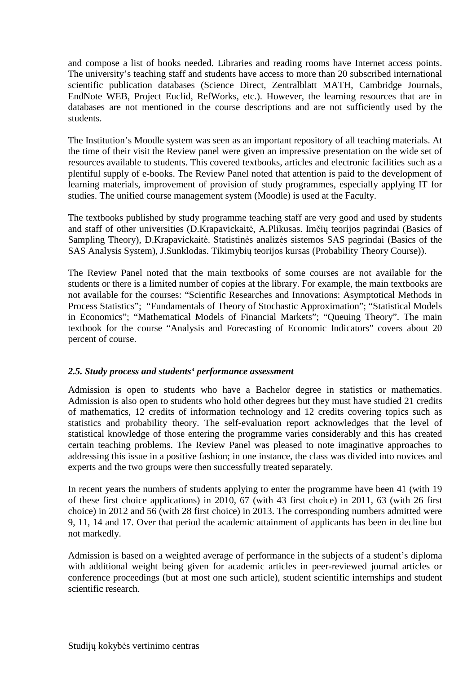and compose a list of books needed. Libraries and reading rooms have Internet access points. The university's teaching staff and students have access to more than 20 subscribed international scientific publication databases (Science Direct, Zentralblatt MATH, Cambridge Journals, EndNote WEB, Project Euclid, RefWorks, etc.). However, the learning resources that are in databases are not mentioned in the course descriptions and are not sufficiently used by the students.

The Institution's Moodle system was seen as an important repository of all teaching materials. At the time of their visit the Review panel were given an impressive presentation on the wide set of resources available to students. This covered textbooks, articles and electronic facilities such as a plentiful supply of e-books. The Review Panel noted that attention is paid to the development of learning materials, improvement of provision of study programmes, especially applying IT for studies. The unified course management system (Moodle) is used at the Faculty.

The textbooks published by study programme teaching staff are very good and used by students and staff of other universities (D.Krapavickaitė, A.Plikusas. Imčių teorijos pagrindai (Basics of Sampling Theory), D.Krapavickaitė. Statistinės analizės sistemos SAS pagrindai (Basics of the SAS Analysis System), J.Sunklodas. Tikimybių teorijos kursas (Probability Theory Course)).

The Review Panel noted that the main textbooks of some courses are not available for the students or there is a limited number of copies at the library. For example, the main textbooks are not available for the courses: "Scientific Researches and Innovations: Asymptotical Methods in Process Statistics"; "Fundamentals of Theory of Stochastic Approximation"; "Statistical Models in Economics"; "Mathematical Models of Financial Markets"; "Queuing Theory". The main textbook for the course "Analysis and Forecasting of Economic Indicators" covers about 20 percent of course.

# *2.5. Study process and students' performance assessment*

Admission is open to students who have a Bachelor degree in statistics or mathematics. Admission is also open to students who hold other degrees but they must have studied 21 credits of mathematics, 12 credits of information technology and 12 credits covering topics such as statistics and probability theory. The self-evaluation report acknowledges that the level of statistical knowledge of those entering the programme varies considerably and this has created certain teaching problems. The Review Panel was pleased to note imaginative approaches to addressing this issue in a positive fashion; in one instance, the class was divided into novices and experts and the two groups were then successfully treated separately.

In recent years the numbers of students applying to enter the programme have been 41 (with 19 of these first choice applications) in 2010, 67 (with 43 first choice) in 2011, 63 (with 26 first choice) in 2012 and 56 (with 28 first choice) in 2013. The corresponding numbers admitted were 9, 11, 14 and 17. Over that period the academic attainment of applicants has been in decline but not markedly.

Admission is based on a weighted average of performance in the subjects of a student's diploma with additional weight being given for academic articles in peer-reviewed journal articles or conference proceedings (but at most one such article), student scientific internships and student scientific research.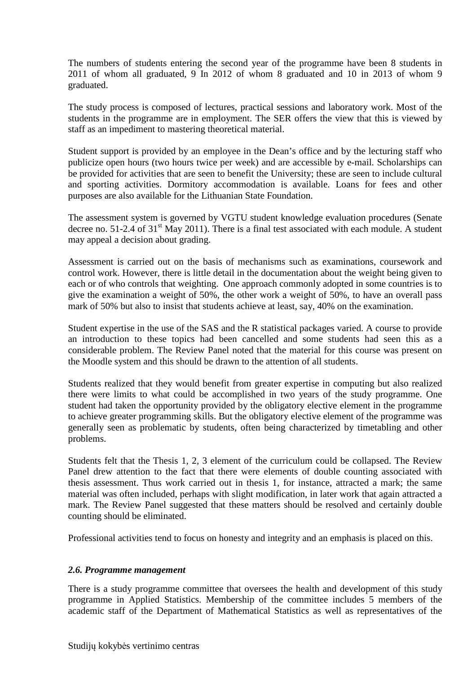The numbers of students entering the second year of the programme have been 8 students in 2011 of whom all graduated, 9 In 2012 of whom 8 graduated and 10 in 2013 of whom 9 graduated.

The study process is composed of lectures, practical sessions and laboratory work. Most of the students in the programme are in employment. The SER offers the view that this is viewed by staff as an impediment to mastering theoretical material.

Student support is provided by an employee in the Dean's office and by the lecturing staff who publicize open hours (two hours twice per week) and are accessible by e-mail. Scholarships can be provided for activities that are seen to benefit the University; these are seen to include cultural and sporting activities. Dormitory accommodation is available. Loans for fees and other purposes are also available for the Lithuanian State Foundation.

The assessment system is governed by VGTU student knowledge evaluation procedures (Senate decree no.  $51-2.4$  of  $31<sup>st</sup>$  May 2011). There is a final test associated with each module. A student may appeal a decision about grading.

Assessment is carried out on the basis of mechanisms such as examinations, coursework and control work. However, there is little detail in the documentation about the weight being given to each or of who controls that weighting. One approach commonly adopted in some countries is to give the examination a weight of 50%, the other work a weight of 50%, to have an overall pass mark of 50% but also to insist that students achieve at least, say, 40% on the examination.

Student expertise in the use of the SAS and the R statistical packages varied. A course to provide an introduction to these topics had been cancelled and some students had seen this as a considerable problem. The Review Panel noted that the material for this course was present on the Moodle system and this should be drawn to the attention of all students.

Students realized that they would benefit from greater expertise in computing but also realized there were limits to what could be accomplished in two years of the study programme. One student had taken the opportunity provided by the obligatory elective element in the programme to achieve greater programming skills. But the obligatory elective element of the programme was generally seen as problematic by students, often being characterized by timetabling and other problems.

Students felt that the Thesis 1, 2, 3 element of the curriculum could be collapsed. The Review Panel drew attention to the fact that there were elements of double counting associated with thesis assessment. Thus work carried out in thesis 1, for instance, attracted a mark; the same material was often included, perhaps with slight modification, in later work that again attracted a mark. The Review Panel suggested that these matters should be resolved and certainly double counting should be eliminated.

Professional activities tend to focus on honesty and integrity and an emphasis is placed on this.

# *2.6. Programme management*

There is a study programme committee that oversees the health and development of this study programme in Applied Statistics. Membership of the committee includes 5 members of the academic staff of the Department of Mathematical Statistics as well as representatives of the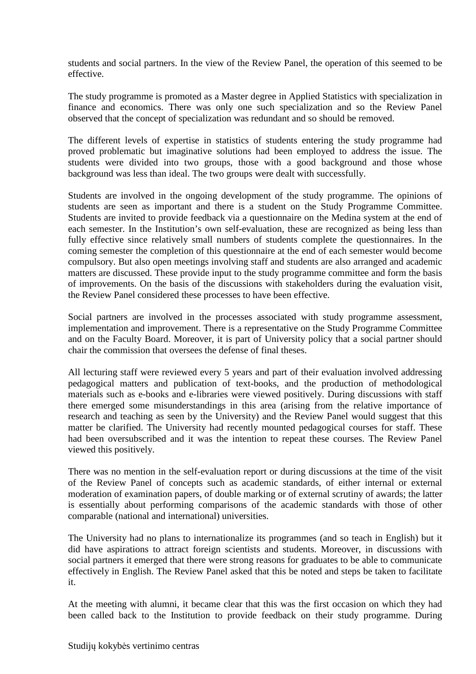students and social partners. In the view of the Review Panel, the operation of this seemed to be effective.

The study programme is promoted as a Master degree in Applied Statistics with specialization in finance and economics. There was only one such specialization and so the Review Panel observed that the concept of specialization was redundant and so should be removed.

The different levels of expertise in statistics of students entering the study programme had proved problematic but imaginative solutions had been employed to address the issue. The students were divided into two groups, those with a good background and those whose background was less than ideal. The two groups were dealt with successfully.

Students are involved in the ongoing development of the study programme. The opinions of students are seen as important and there is a student on the Study Programme Committee. Students are invited to provide feedback via a questionnaire on the Medina system at the end of each semester. In the Institution's own self-evaluation, these are recognized as being less than fully effective since relatively small numbers of students complete the questionnaires. In the coming semester the completion of this questionnaire at the end of each semester would become compulsory. But also open meetings involving staff and students are also arranged and academic matters are discussed. These provide input to the study programme committee and form the basis of improvements. On the basis of the discussions with stakeholders during the evaluation visit, the Review Panel considered these processes to have been effective.

Social partners are involved in the processes associated with study programme assessment, implementation and improvement. There is a representative on the Study Programme Committee and on the Faculty Board. Moreover, it is part of University policy that a social partner should chair the commission that oversees the defense of final theses.

All lecturing staff were reviewed every 5 years and part of their evaluation involved addressing pedagogical matters and publication of text-books, and the production of methodological materials such as e-books and e-libraries were viewed positively. During discussions with staff there emerged some misunderstandings in this area (arising from the relative importance of research and teaching as seen by the University) and the Review Panel would suggest that this matter be clarified. The University had recently mounted pedagogical courses for staff. These had been oversubscribed and it was the intention to repeat these courses. The Review Panel viewed this positively.

There was no mention in the self-evaluation report or during discussions at the time of the visit of the Review Panel of concepts such as academic standards, of either internal or external moderation of examination papers, of double marking or of external scrutiny of awards; the latter is essentially about performing comparisons of the academic standards with those of other comparable (national and international) universities.

The University had no plans to internationalize its programmes (and so teach in English) but it did have aspirations to attract foreign scientists and students. Moreover, in discussions with social partners it emerged that there were strong reasons for graduates to be able to communicate effectively in English. The Review Panel asked that this be noted and steps be taken to facilitate it.

At the meeting with alumni, it became clear that this was the first occasion on which they had been called back to the Institution to provide feedback on their study programme. During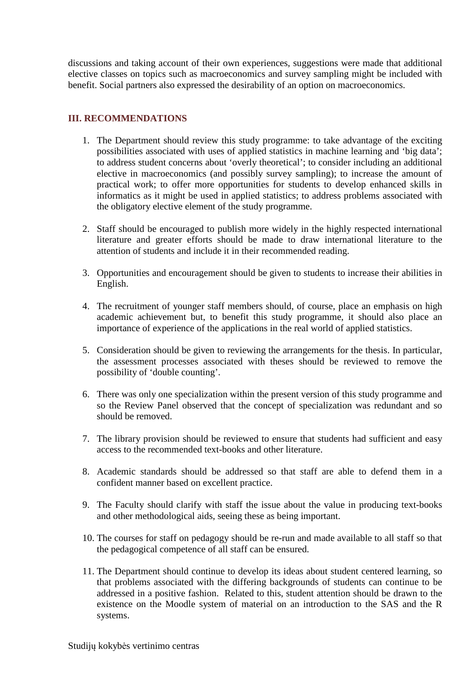discussions and taking account of their own experiences, suggestions were made that additional elective classes on topics such as macroeconomics and survey sampling might be included with benefit. Social partners also expressed the desirability of an option on macroeconomics.

# **III. RECOMMENDATIONS**

- 1. The Department should review this study programme: to take advantage of the exciting possibilities associated with uses of applied statistics in machine learning and 'big data'; to address student concerns about 'overly theoretical'; to consider including an additional elective in macroeconomics (and possibly survey sampling); to increase the amount of practical work; to offer more opportunities for students to develop enhanced skills in informatics as it might be used in applied statistics; to address problems associated with the obligatory elective element of the study programme.
- 2. Staff should be encouraged to publish more widely in the highly respected international literature and greater efforts should be made to draw international literature to the attention of students and include it in their recommended reading.
- 3. Opportunities and encouragement should be given to students to increase their abilities in English.
- 4. The recruitment of younger staff members should, of course, place an emphasis on high academic achievement but, to benefit this study programme, it should also place an importance of experience of the applications in the real world of applied statistics.
- 5. Consideration should be given to reviewing the arrangements for the thesis. In particular, the assessment processes associated with theses should be reviewed to remove the possibility of 'double counting'.
- 6. There was only one specialization within the present version of this study programme and so the Review Panel observed that the concept of specialization was redundant and so should be removed.
- 7. The library provision should be reviewed to ensure that students had sufficient and easy access to the recommended text-books and other literature.
- 8. Academic standards should be addressed so that staff are able to defend them in a confident manner based on excellent practice.
- 9. The Faculty should clarify with staff the issue about the value in producing text-books and other methodological aids, seeing these as being important.
- 10. The courses for staff on pedagogy should be re-run and made available to all staff so that the pedagogical competence of all staff can be ensured.
- 11. The Department should continue to develop its ideas about student centered learning, so that problems associated with the differing backgrounds of students can continue to be addressed in a positive fashion. Related to this, student attention should be drawn to the existence on the Moodle system of material on an introduction to the SAS and the R systems.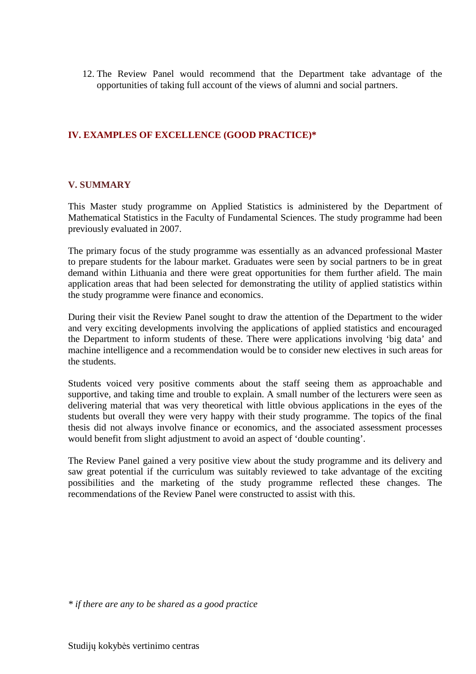12. The Review Panel would recommend that the Department take advantage of the opportunities of taking full account of the views of alumni and social partners.

#### **IV. EXAMPLES OF EXCELLENCE (GOOD PRACTICE)\***

#### **V. SUMMARY**

This Master study programme on Applied Statistics is administered by the Department of Mathematical Statistics in the Faculty of Fundamental Sciences. The study programme had been previously evaluated in 2007.

The primary focus of the study programme was essentially as an advanced professional Master to prepare students for the labour market. Graduates were seen by social partners to be in great demand within Lithuania and there were great opportunities for them further afield. The main application areas that had been selected for demonstrating the utility of applied statistics within the study programme were finance and economics.

During their visit the Review Panel sought to draw the attention of the Department to the wider and very exciting developments involving the applications of applied statistics and encouraged the Department to inform students of these. There were applications involving 'big data' and machine intelligence and a recommendation would be to consider new electives in such areas for the students.

Students voiced very positive comments about the staff seeing them as approachable and supportive, and taking time and trouble to explain. A small number of the lecturers were seen as delivering material that was very theoretical with little obvious applications in the eyes of the students but overall they were very happy with their study programme. The topics of the final thesis did not always involve finance or economics, and the associated assessment processes would benefit from slight adjustment to avoid an aspect of 'double counting'.

The Review Panel gained a very positive view about the study programme and its delivery and saw great potential if the curriculum was suitably reviewed to take advantage of the exciting possibilities and the marketing of the study programme reflected these changes. The recommendations of the Review Panel were constructed to assist with this.

*<sup>\*</sup> if there are any to be shared as a good practice*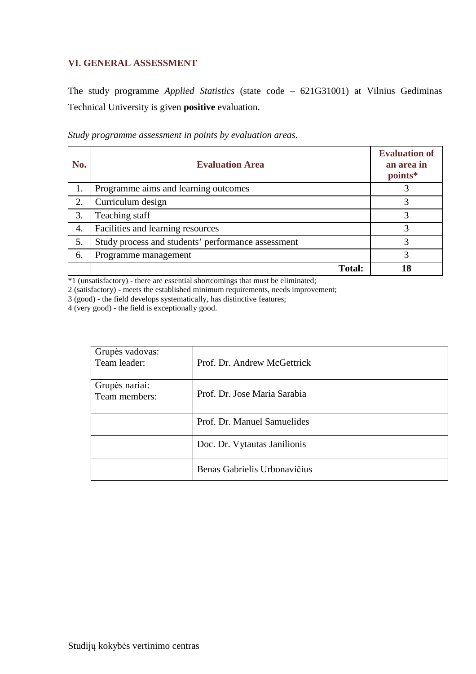# **VI. GENERAL ASSESSMENT**

The study programme *Applied Statistics* (state code – 621G31001) at Vilnius Gediminas Technical University is given **positive** evaluation.

| No. | <b>Evaluation Area</b>                             | <b>Evaluation of</b><br>an area in<br>points* |
|-----|----------------------------------------------------|-----------------------------------------------|
| 1.  | Programme aims and learning outcomes               |                                               |
| 2.  | Curriculum design                                  |                                               |
| 3.  | Teaching staff                                     |                                               |
| 4.  | Facilities and learning resources                  | 3                                             |
| 5.  | Study process and students' performance assessment | 3                                             |
| 6.  | Programme management                               |                                               |
|     | <b>Total:</b>                                      | 18                                            |

*Study programme assessment in points by evaluation areas*.

\*1 (unsatisfactory) - there are essential shortcomings that must be eliminated;

2 (satisfactory) - meets the established minimum requirements, needs improvement;

3 (good) - the field develops systematically, has distinctive features;

4 (very good) - the field is exceptionally good.

| Grupės vadovas:<br>Team leader: | Prof. Dr. Andrew McGettrick  |
|---------------------------------|------------------------------|
| Grupės nariai:<br>Team members: | Prof. Dr. Jose Maria Sarabia |
|                                 | Prof. Dr. Manuel Samuelides  |
|                                 | Doc. Dr. Vytautas Janilionis |
|                                 | Benas Gabrielis Urbonavičius |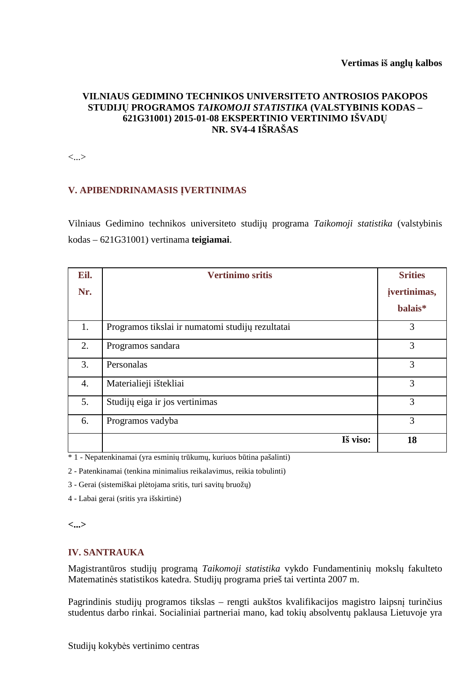# **VILNIAUS GEDIMINO TECHNIKOS UNIVERSITETO ANTROSIOS PAKOPOS STUDIJŲ PROGRAMOS** *TAIKOMOJI STATISTIKA* **(VALSTYBINIS KODAS – 621G31001) 2015-01-08 EKSPERTINIO VERTINIMO IŠVADŲ NR. SV4-4 IŠRAŠAS**

<...>

# **V. APIBENDRINAMASIS ĮVERTINIMAS**

Vilniaus Gedimino technikos universiteto studijų programa *Taikomoji statistika* (valstybinis kodas – 621G31001) vertinama **teigiamai**.

| Eil. | <b>Vertinimo sritis</b>                          | <b>Srities</b>      |
|------|--------------------------------------------------|---------------------|
| Nr.  |                                                  | <i>ivertinimas,</i> |
|      |                                                  | balais*             |
| 1.   | Programos tikslai ir numatomi studijų rezultatai | 3                   |
| 2.   | Programos sandara                                | 3                   |
| 3.   | Personalas                                       | 3                   |
| 4.   | Materialieji ištekliai                           | 3                   |
| 5.   | Studijų eiga ir jos vertinimas                   | 3                   |
| 6.   | Programos vadyba                                 | 3                   |
|      | Iš viso:                                         | 18                  |

\* 1 - Nepatenkinamai (yra esminių trūkumų, kuriuos būtina pašalinti)

2 - Patenkinamai (tenkina minimalius reikalavimus, reikia tobulinti)

3 - Gerai (sistemiškai plėtojama sritis, turi savitų bruožų)

4 - Labai gerai (sritis yra išskirtinė)

#### **<...>**

#### **IV. SANTRAUKA**

Magistrantūros studijų programą *Taikomoji statistika* vykdo Fundamentinių mokslų fakulteto Matematinės statistikos katedra. Studijų programa prieš tai vertinta 2007 m.

Pagrindinis studijų programos tikslas – rengti aukštos kvalifikacijos magistro laipsnį turinčius studentus darbo rinkai. Socialiniai partneriai mano, kad tokių absolventų paklausa Lietuvoje yra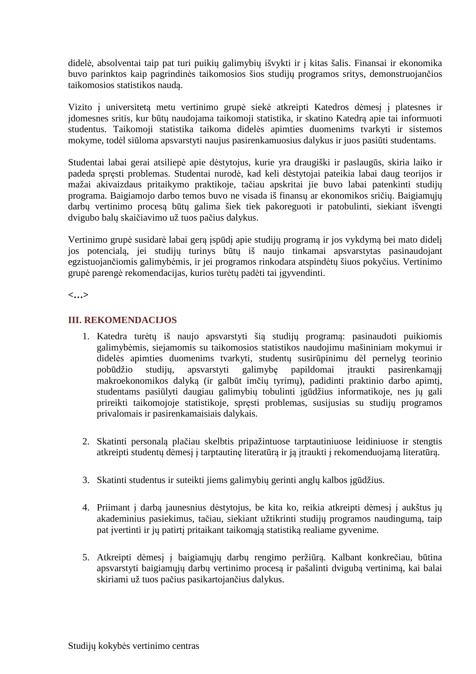didelė, absolventai taip pat turi puikių galimybių išvykti ir į kitas šalis. Finansai ir ekonomika buvo parinktos kaip pagrindinės taikomosios šios studijų programos sritys, demonstruojančios taikomosios statistikos naudą.

Vizito į universitetą metu vertinimo grupė siekė atkreipti Katedros dėmesį į platesnes ir įdomesnes sritis, kur būtų naudojama taikomoji statistika, ir skatino Katedrą apie tai informuoti studentus. Taikomoji statistika taikoma didelės apimties duomenims tvarkyti ir sistemos mokyme, todėl siūloma apsvarstyti naujus pasirenkamuosius dalykus ir juos pasiūti studentams.

Studentai labai gerai atsiliepė apie dėstytojus, kurie yra draugiški ir paslaugūs, skiria laiko ir padeda spręsti problemas. Studentai nurodė, kad keli dėstytojai pateikia labai daug teorijos ir mažai akivaizdaus pritaikymo praktikoje, tačiau apskritai jie buvo labai patenkinti studijų programa. Baigiamojo darbo temos buvo ne visada iš finansų ar ekonomikos sričių. Baigiamųjų darbų vertinimo procesą būtų galima šiek tiek pakoreguoti ir patobulinti, siekiant išvengti dvigubo balų skaičiavimo už tuos pačius dalykus.

Vertinimo grupė susidarė labai gerą įspūdį apie studijų programą ir jos vykdymą bei mato didelį jos potencialą, jei studijų turinys būtų iš naujo tinkamai apsvarstytas pasinaudojant egzistuojančiomis galimybėmis, ir jei programos rinkodara atspindėtų šiuos pokyčius. Vertinimo grupė parengė rekomendacijas, kurios turėtų padėti tai įgyvendinti.

#### **<…>**

# **III. REKOMENDACIJOS**

- 1. Katedra turėtų iš naujo apsvarstyti šią studijų programą: pasinaudoti puikiomis galimybėmis, siejamomis su taikomosios statistikos naudojimu mašininiam mokymui ir didelės apimties duomenims tvarkyti, studentų susirūpinimu dėl pernelyg teorinio pobūdžio studijų, apsvarstyti galimybę papildomai įtraukti pasirenkamąjį pobūdžio studijų, apsvarstyti galimybę papildomai įtraukti pasirenkamąjį makroekonomikos dalyką (ir galbūt imčių tyrimų), padidinti praktinio darbo apimtį, studentams pasiūlyti daugiau galimybių tobulinti įgūdžius informatikoje, nes jų gali prireikti taikomojoje statistikoje, spręsti problemas, susijusias su studijų programos privalomais ir pasirenkamaisiais dalykais.
- 2. Skatinti personalą plačiau skelbtis pripažintuose tarptautiniuose leidiniuose ir stengtis atkreipti studentų dėmesį į tarptautinę literatūrą ir ją įtraukti į rekomenduojamą literatūrą.
- 3. Skatinti studentus ir suteikti jiems galimybių gerinti anglų kalbos įgūdžius.
- 4. Priimant į darbą jaunesnius dėstytojus, be kita ko, reikia atkreipti dėmesį į aukštus jų akademinius pasiekimus, tačiau, siekiant užtikrinti studijų programos naudingumą, taip pat įvertinti ir jų patirtį pritaikant taikomąją statistiką realiame gyvenime.
- 5. Atkreipti dėmesį į baigiamųjų darbų rengimo peržiūrą. Kalbant konkrečiau, būtina apsvarstyti baigiamųjų darbų vertinimo procesą ir pašalinti dvigubą vertinimą, kai balai skiriami už tuos pačius pasikartojančius dalykus.